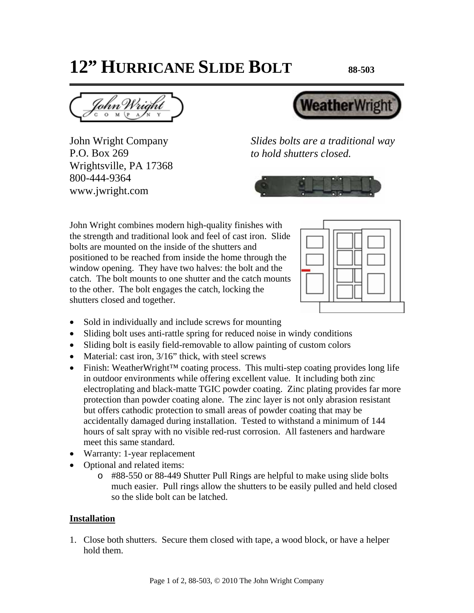## **12" HURRICANE SLIDE BOLT 88-503**

John Wright Company P.O. Box 269 Wrightsville, PA 17368 800-444-9364 www.jwright.com



*Slides bolts are a traditional way to hold shutters closed.* 



John Wright combines modern high-quality finishes with the strength and traditional look and feel of cast iron. Slide bolts are mounted on the inside of the shutters and positioned to be reached from inside the home through the window opening. They have two halves: the bolt and the catch. The bolt mounts to one shutter and the catch mounts to the other. The bolt engages the catch, locking the shutters closed and together.



- Sold in individually and include screws for mounting
- Sliding bolt uses anti-rattle spring for reduced noise in windy conditions
- Sliding bolt is easily field-removable to allow painting of custom colors
- Material: cast iron,  $3/16$ " thick, with steel screws
- Finish: WeatherWright™ coating process. This multi-step coating provides long life in outdoor environments while offering excellent value. It including both zinc electroplating and black-matte TGIC powder coating. Zinc plating provides far more protection than powder coating alone. The zinc layer is not only abrasion resistant but offers cathodic protection to small areas of powder coating that may be accidentally damaged during installation. Tested to withstand a minimum of 144 hours of salt spray with no visible red-rust corrosion. All fasteners and hardware meet this same standard.
- Warranty: 1-year replacement
- Optional and related items:
	- o #88-550 or 88-449 Shutter Pull Rings are helpful to make using slide bolts much easier. Pull rings allow the shutters to be easily pulled and held closed so the slide bolt can be latched.

## **Installation**

1. Close both shutters. Secure them closed with tape, a wood block, or have a helper hold them.